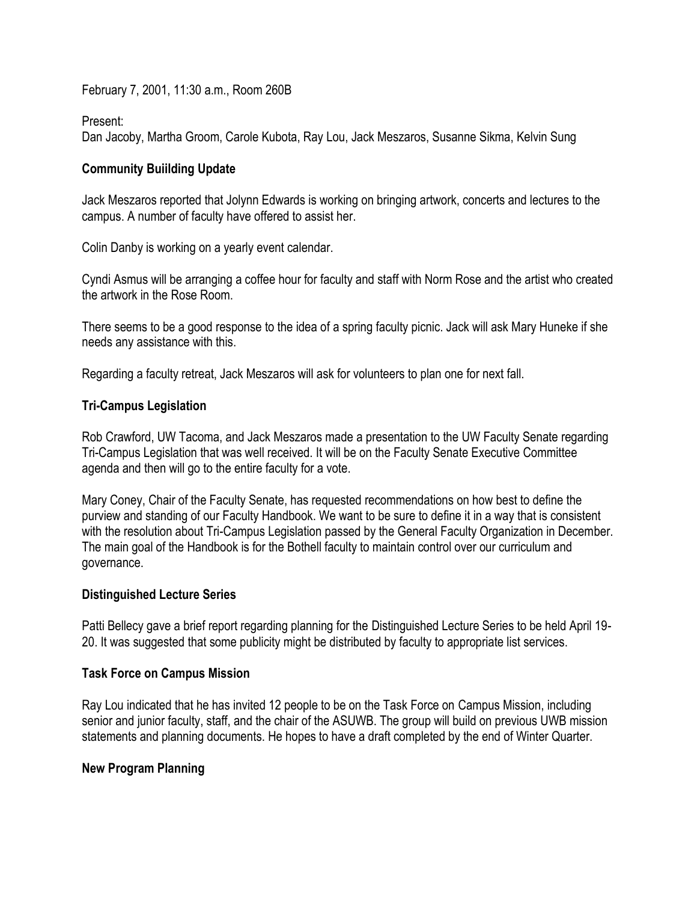February 7, 2001, 11:30 a.m., Room 260B

Present:

Dan Jacoby, Martha Groom, Carole Kubota, Ray Lou, Jack Meszaros, Susanne Sikma, Kelvin Sung

## **Community Buiilding Update**

Jack Meszaros reported that Jolynn Edwards is working on bringing artwork, concerts and lectures to the campus. A number of faculty have offered to assist her.

Colin Danby is working on a yearly event calendar.

Cyndi Asmus will be arranging a coffee hour for faculty and staff with Norm Rose and the artist who created the artwork in the Rose Room.

There seems to be a good response to the idea of a spring faculty picnic. Jack will ask Mary Huneke if she needs any assistance with this.

Regarding a faculty retreat, Jack Meszaros will ask for volunteers to plan one for next fall.

### **Tri-Campus Legislation**

Rob Crawford, UW Tacoma, and Jack Meszaros made a presentation to the UW Faculty Senate regarding Tri-Campus Legislation that was well received. It will be on the Faculty Senate Executive Committee agenda and then will go to the entire faculty for a vote.

Mary Coney, Chair of the Faculty Senate, has requested recommendations on how best to define the purview and standing of our Faculty Handbook. We want to be sure to define it in a way that is consistent with the resolution about Tri-Campus Legislation passed by the General Faculty Organization in December. The main goal of the Handbook is for the Bothell faculty to maintain control over our curriculum and governance.

## **Distinguished Lecture Series**

Patti Bellecy gave a brief report regarding planning for the Distinguished Lecture Series to be held April 19- 20. It was suggested that some publicity might be distributed by faculty to appropriate list services.

## **Task Force on Campus Mission**

Ray Lou indicated that he has invited 12 people to be on the Task Force on Campus Mission, including senior and junior faculty, staff, and the chair of the ASUWB. The group will build on previous UWB mission statements and planning documents. He hopes to have a draft completed by the end of Winter Quarter.

## **New Program Planning**